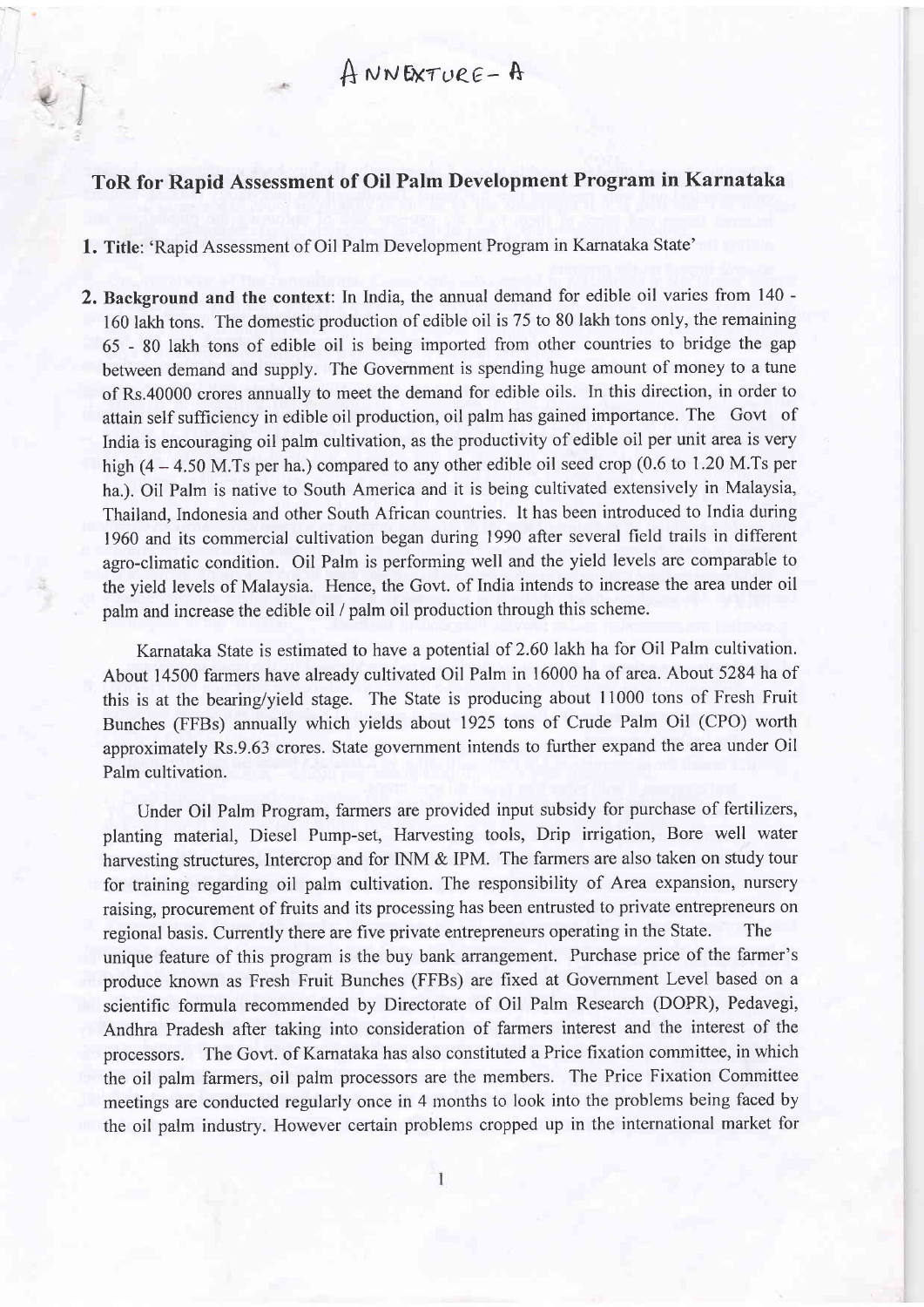## ToR for Rapid Assessment of Oil Palm Development Program in Karnataka

1. Title: 'Rapid Assessment of Oil Palm Development Program in Karnataka State'

2. Background and the context: In India, the annual demand for edible oil varies from 140 - 160 lakh tons. The domestic production of edible oil is 75 to 80 lakh tons only, the remaining 65 - 80 lakh tons of edible oil is being imported from other countries to bridge the gap between demand and supply. The Govemment is spending huge amount of money to a tune of Rs.40000 crores annually to meet the demand for edible oils. In this direction, in order to attainself sufficiency in edible oil production, oil palm has gained importance. The Govt of India is encouraging oil palm cultivation, as the productivity of edible oil per unit area is very high  $(4 - 4.50$  M.Ts per ha.) compared to any other edible oil seed crop  $(0.6$  to 1.20 M.Ts per ha.). Oil Palm is native to South America and it is being cultivated extensively in Malaysia, Thailand, Indonesia and other South African countries. It has been introduced to India during <sup>1960</sup>and its commercial cultivation began during 1990 after several field trails in different agro-climatic condition. Oil Palm is performing well and the yield levels are comparable to the yield levels of Malaysia. Hence, the Govt. of India intends to increase the area under oil palm and increase the edible oil / palm oil production through this scheme.

Karnataka State is estimated to have a potential of 2.60 lakh ha for Oil Palm cultivation. About 14500 farmers have already cultivated Oil Palm in 16000 ha of area. About 5284 ha of this is at the bearing/yield stage. The State is producing about 11000 tons of Fresh Fruit Bunches (FFBs) annually which yields about 1925 tons of Crude Palm Oil (CPO) worth approximately Rs.9.63 crores. State government intends to further expand the area under Oil Palm cultivation.

Under Oil Palm Program, farmers are provided input subsidy for purchase of fertilizers, planting material, Diesel Pump-set, Harvesting tools, Drip irrigation, Bore well water harvesting structures, Intercrop and for INM & IPM. The farmers are also taken on study tour for training regarding oil palm cultivation. The responsibility of Area expansion, nursery raising, procurement of fruits and its processing has been entrusted to private entrepreneurs on regional basis. Currently there are five private entrepreneurs operating in the State. The unique feature of this program is the buy bank arrangement. Purchase price of the farmer's produce known as Fresh Fruit Bunches (FFBs) are fixed at Govemment Level based on <sup>a</sup> scientific formula recommended by Directorate of Oil Palm Research (DOPR), Pedavegi, Andhra Pradesh after taking into consideration of farmers interest and the interest of the processors. The Govt. of Karnataka has also constituted a Price fixation committee, in which the oil palm farmers, oil palm processors are the members. The Price Fixation Committee meetings are conducted regularly once in 4 months to look into the problems being faced by the oil palm industry. However certain problems cropped up in the international market for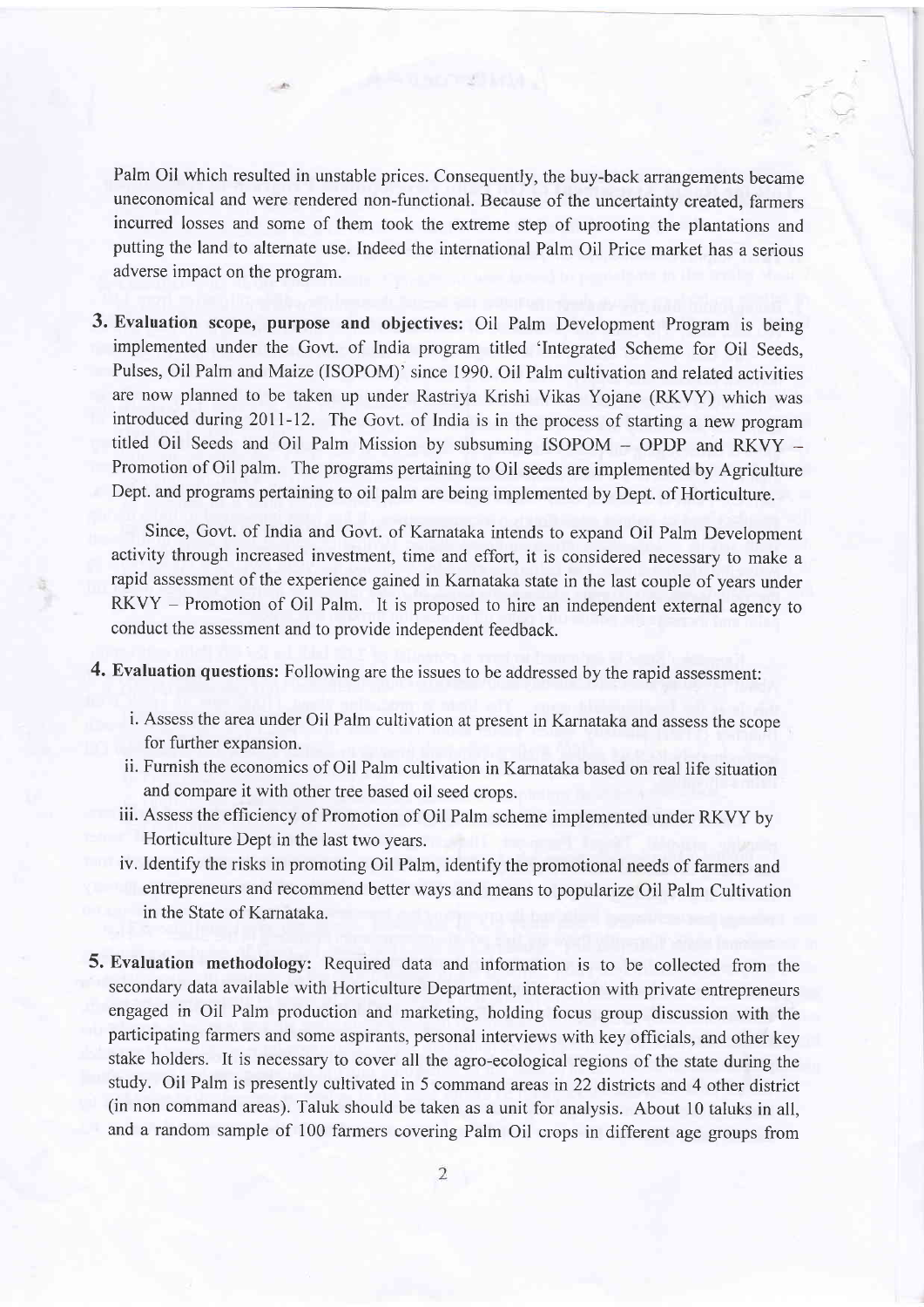Palm Oil which resulted in unstable prices. Consequently, the buy-back arrangements became uneconomical and were rendered non-functional. Because of the uncertainty created, farmers incurred losses and some of them took the extreme step of uprooting the plantations and putting the land to alternate use. Indeed the international Palm Oil Price market has a serious adverse impact on the program.

3. Evaluation scope, purpose and objectives: Oil Palm Development Program is being implemented under the Govt. of India program titled 'Integrated Scheme for Oil Seeds, Pulses, Oil Palm and Maize (ISOPOM)' since 1990. Oil Palm cultivation and related activities are now planned to be taken up under Rastriya Krishi Vikas Yojane (RKVY) which was introduced during 20ll-12. The Govt. of India is in the process of starting a new program titled Oil Seeds and Oil Palm Mission by subsuming ISOPOM - OPDP and RKVY -Promotion of Oil palm. The programs pertaining to Oil seeds are implemented by Agriculture Dept. and programs pertaining to oil palm are being implemented by Dept. of Horticulture.

Since, Govt. of India and Govt. of Karnataka intends to expand Oil Palm Development activity through increased investment, time and effort, it is considered necessary to make <sup>a</sup> rapid assessment of the experience gained in Karnataka state in the last couple of years under RKVY - Promotion of Oil Palm. It is proposed to hire an independent external agency to conduct the assessment and to provide independent feedback.

4. Evaluation questions: Following are the issues to be addressed by the rapid assessment:

- i. Assess the area under Oil Palm cultivation at present in Karnataka and assess the scope for further expansion.
- ii. Furnish the economics of Oil Palm cultivation in Karnataka based on real life situation and compare it with other tree based oil seed crops.
- iii. Assess the efficiency of Promotion of Oil Palm scheme implemented under RKVY by Horticulture Dept in the last two years.
- iv. Identify the risks in promoting Oil Palm, identify the promotional needs of farmers and entrepreneurs and recommend better ways and means to popularize Oil Palm Cultivation in the State of Karnataka.
- 5. Evaluation methodology: Required data and information is to be collected from the secondary data available with Horticulture Department, interaction with private entrepreneurs engaged in Oil Palm production and marketing, holding focus group discussion with the participating farmers and some aspirants, personal interviews with key officials, and other key stake holders. It is necessary to cover all the agro-ecological regions of the state during the study. Oil Palm is presently cultivated in 5 command areas in 22 districts and 4 other district (in non command areas). Taluk should be taken as a unit for analysis. About l0 taluks in all, and a random sample of 100 farmers covering Palm Oil crops in different age groups from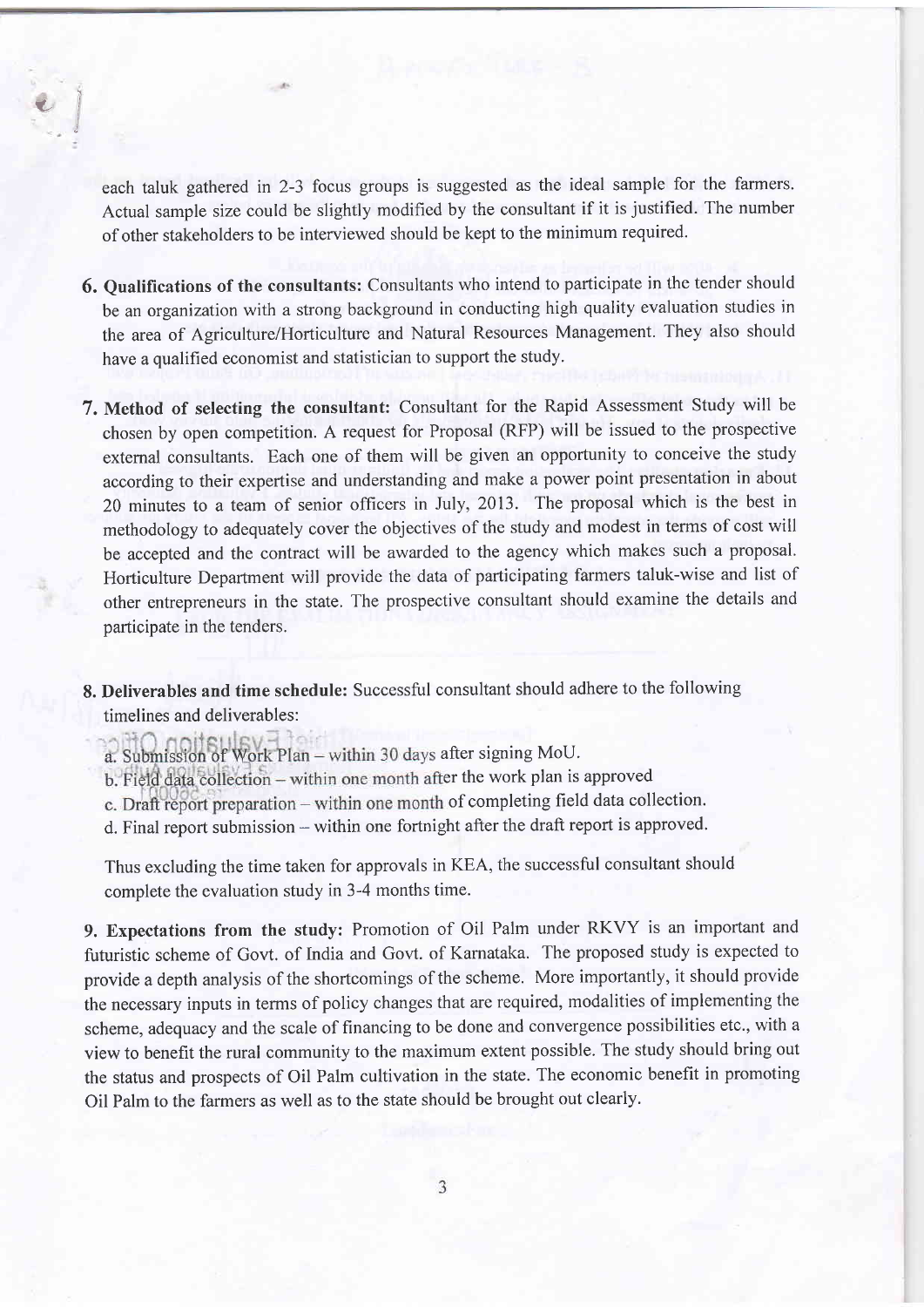each taluk gathered in 2-3 focus groups is suggested as the ideal sample for the farmers. Actual sample size could be slightly modified by the consultant if it is justified. The number of other stakeholders to be interviewed should be kept to the minimum required.

 $\iota$ 

- 6. Qualifications of the consultants: Consultants who intend to participate in the tender should be an organization with a strong background in conducting high quality evaluation studies in the area of Agriculture/Horticulture and Natural Resources Management. They also should have a qualified economist and statistician to support the study.
- 7. Method of selecting the consultant: Consultant for the Rapid Assessment Study will be chosen by open competition. A request for Proposal (RFP) will be issued to the prospective extemal consultants. Each one of them will be given an opportunity to conceive the study according to their expertise and understanding and make a power point presentation in about 20 minutes to a team of senior officers in July, 2013. The proposal which is the best in methodology to adequately cover the objectives of the study and modest in terms of cost will be accepted and the contract will be awarded to the agency which makes such a proposal. Horticulture Department will provide the data of participating farmers taluk-wise and list of other entrepreneurs in the state. The prospective consultant should examine the details and participate in the tenders.
- 8. Deliverables and time schedule: Successful consultant should adhere to the following timelines and deliverables:

a. Submission of Work Plan - within 30 days after signing MoU.

- b. Field data collection within one month after the work plan is approved
- c. Draft report preparation within one month of completing field data collection.
- d. Final report submission within one fortnight after the draft report is approved.

Thus excluding the time taken for approvals in KEA, the successful consultant should complete the evaluation study in 3-4 months time.

9. Expectations from the study: Promotion of Oil Palm under RKVY is an important and futuristic scheme of Govt. of India and Govt. of Karnataka. The proposed study is expected to provide a depth analysis of the shortcomings of the scheme. More importantly, it should provide the necessary inputs in terms of policy changes that are required, modalities of implementing the scheme, adequacy and the scale of financing to be done and convergence possibilities etc., with <sup>a</sup> view to benefit the rural community to the maximum extent possible. The study should bring out the status and prospects of Oil Palm cultivation in the state. The economic benefit in promoting Oil Palm to the farmers as well as to the state should be brought out clearly.